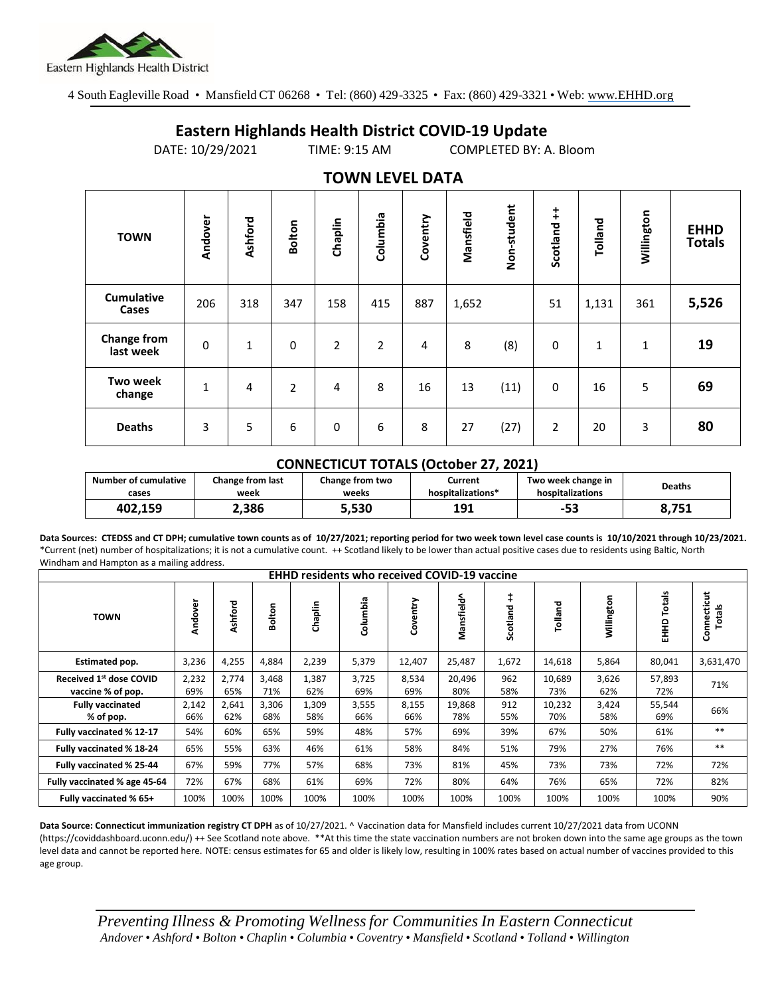

4 South Eagleville Road • Mansfield CT 06268 • Tel: (860) 429-3325 • Fax: (860) 429-3321 • Web: www.EHHD.org

## **Eastern Highlands Health District COVID-19 Update**

DATE: 10/29/2021 TIME: 9:15 AM COMPLETED BY: A. Bloom

| . <i>.</i> .                    |              |         |                |                |                |          |           |             |                        |              |              |                              |
|---------------------------------|--------------|---------|----------------|----------------|----------------|----------|-----------|-------------|------------------------|--------------|--------------|------------------------------|
| <b>TOWN</b>                     | Andover      | Ashford | <b>Bolton</b>  | Chaplin        | Columbia       | Coventry | Mansfield | Non-student | $\ddagger$<br>Scotland | Tolland      | Willington   | <b>EHHD</b><br><b>Totals</b> |
| Cumulative<br>Cases             | 206          | 318     | 347            | 158            | 415            | 887      | 1,652     |             | 51                     | 1,131        | 361          | 5,526                        |
| <b>Change from</b><br>last week | 0            | 1       | 0              | $\overline{2}$ | $\overline{2}$ | 4        | 8         | (8)         | 0                      | $\mathbf{1}$ | $\mathbf{1}$ | 19                           |
| <b>Two week</b><br>change       | $\mathbf{1}$ | 4       | $\overline{2}$ | 4              | 8              | 16       | 13        | (11)        | 0                      | 16           | 5            | 69                           |
| <b>Deaths</b>                   | 3            | 5       | 6              | $\pmb{0}$      | 6              | 8        | 27        | (27)        | $\overline{2}$         | 20           | 3            | 80                           |

## **TOWN LEVEL DATA**

## **CONNECTICUT TOTALS (October 27, 2021)**

| Number of cumulative | <b>Change from last</b> | Change from two | Current           | Two week change in | <b>Deaths</b> |  |
|----------------------|-------------------------|-----------------|-------------------|--------------------|---------------|--|
| cases                | week                    | weeks           | hospitalizations* | hospitalizations   |               |  |
| 402,159              | 2,386                   | 5,530           | 191<br>ᅩ고         | - -                | 8,751         |  |

**Data Sources: CTEDSS and CT DPH; cumulative town counts as of 10/27/2021; reporting period for two week town level case counts is 10/10/2021 through 10/23/2021.** \*Current (net) number of hospitalizations; it is not a cumulative count. ++ Scotland likely to be lower than actual positive cases due to residents using Baltic, North Windham and Hampton as a mailing address.

| <b>EHHD residents who received COVID-19 vaccine</b> |              |              |              |              |              |              |               |                        |               |              |                  |                              |
|-----------------------------------------------------|--------------|--------------|--------------|--------------|--------------|--------------|---------------|------------------------|---------------|--------------|------------------|------------------------------|
| <b>TOWN</b>                                         | Andover      | Ashford      | Bolton       | Chaplin      | Columbia     | Coventry     | Mansfield^    | $\ddagger$<br>Scotland | Tolland       | Willington   | Totals<br>요<br>도 | Connecticut<br><b>Totals</b> |
| Estimated pop.                                      | 3,236        | 4,255        | 4,884        | 2,239        | 5,379        | 12,407       | 25,487        | 1,672                  | 14,618        | 5,864        | 80,041           | 3,631,470                    |
| Received 1st dose COVID<br>vaccine % of pop.        | 2,232<br>69% | 2,774<br>65% | 3,468<br>71% | 1,387<br>62% | 3,725<br>69% | 8,534<br>69% | 20,496<br>80% | 962<br>58%             | 10,689<br>73% | 3,626<br>62% | 57,893<br>72%    | 71%                          |
| <b>Fully vaccinated</b><br>% of pop.                | 2,142<br>66% | 2,641<br>62% | 3,306<br>68% | 1,309<br>58% | 3,555<br>66% | 8,155<br>66% | 19,868<br>78% | 912<br>55%             | 10,232<br>70% | 3,424<br>58% | 55,544<br>69%    | 66%                          |
| Fully vaccinated % 12-17                            | 54%          | 60%          | 65%          | 59%          | 48%          | 57%          | 69%           | 39%                    | 67%           | 50%          | 61%              | $**$                         |
| Fully vaccinated % 18-24                            | 65%          | 55%          | 63%          | 46%          | 61%          | 58%          | 84%           | 51%                    | 79%           | 27%          | 76%              | $***$                        |
| Fully vaccinated % 25-44                            | 67%          | 59%          | 77%          | 57%          | 68%          | 73%          | 81%           | 45%                    | 73%           | 73%          | 72%              | 72%                          |
| Fully vaccinated % age 45-64                        | 72%          | 67%          | 68%          | 61%          | 69%          | 72%          | 80%           | 64%                    | 76%           | 65%          | 72%              | 82%                          |
| Fully vaccinated % 65+                              | 100%         | 100%         | 100%         | 100%         | 100%         | 100%         | 100%          | 100%                   | 100%          | 100%         | 100%             | 90%                          |

**Data Source: Connecticut immunization registry CT DPH** as of 10/27/2021. ^ Vaccination data for Mansfield includes current 10/27/2021 data from UCONN (https://coviddashboard.uconn.edu/) ++ See Scotland note above. \*\*At this time the state vaccination numbers are not broken down into the same age groups as the town level data and cannot be reported here. NOTE: census estimates for 65 and older is likely low, resulting in 100% rates based on actual number of vaccines provided to this age group.

*Preventing Illness & Promoting Wellnessfor Communities In Eastern Connecticut* Andover . Ashford . Bolton . Chaplin . Columbia . Coventry . Mansfield . Scotland . Tolland . Willington